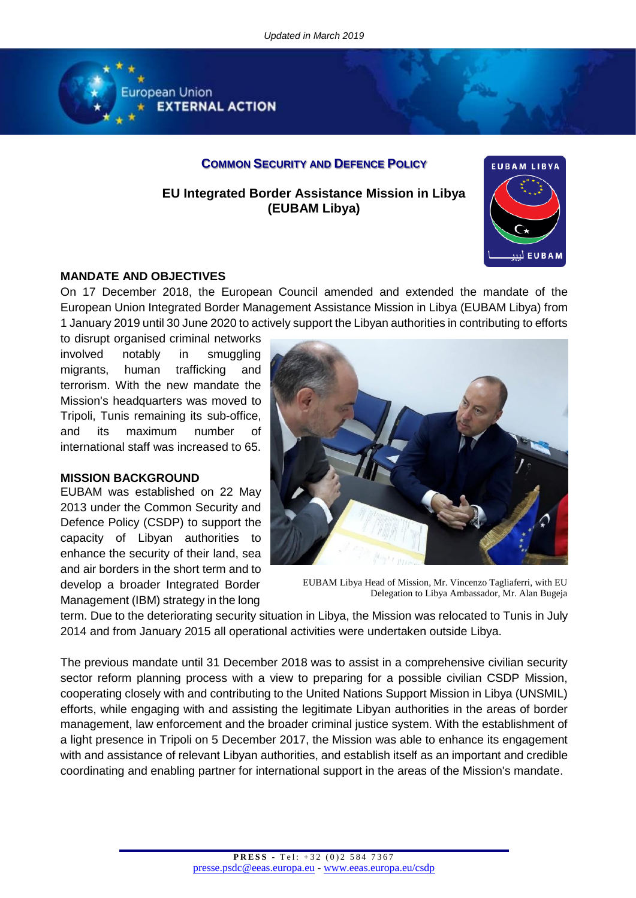

# **COMMON SECURITY AND DEFENCE POLICY**

**EU Integrated Border Assistance Mission in Libya (EUBAM Libya)**



## **MANDATE AND OBJECTIVES**

On 17 December 2018, the European Council amended and extended the mandate of the European Union Integrated Border Management Assistance Mission in Libya (EUBAM Libya) from 1 January 2019 until 30 June 2020 to actively support the Libyan authorities in contributing to efforts

to disrupt organised criminal networks involved notably in smuggling migrants, human trafficking and terrorism. With the new mandate the Mission's headquarters was moved to Tripoli, Tunis remaining its sub-office, and its maximum number of international staff was increased to 65.

## **MISSION BACKGROUND**

EUBAM was established on 22 May 2013 under the Common Security and Defence Policy (CSDP) to support the capacity of Libyan authorities to enhance the security of their land, sea and air borders in the short term and to develop a broader Integrated Border Management (IBM) strategy in the long



EUBAM Libya Head of Mission, Mr. Vincenzo Tagliaferri, with EU Delegation to Libya Ambassador, Mr. Alan Bugeja

term. Due to the deteriorating security situation in Libya, the Mission was relocated to Tunis in July 2014 and from January 2015 all operational activities were undertaken outside Libya.

The previous mandate until 31 December 2018 was to assist in a comprehensive civilian security sector reform planning process with a view to preparing for a possible civilian CSDP Mission, cooperating closely with and contributing to the United Nations Support Mission in Libya (UNSMIL) efforts, while engaging with and assisting the legitimate Libyan authorities in the areas of border management, law enforcement and the broader criminal justice system. With the establishment of a light presence in Tripoli on 5 December 2017, the Mission was able to enhance its engagement with and assistance of relevant Libyan authorities, and establish itself as an important and credible coordinating and enabling partner for international support in the areas of the Mission's mandate.